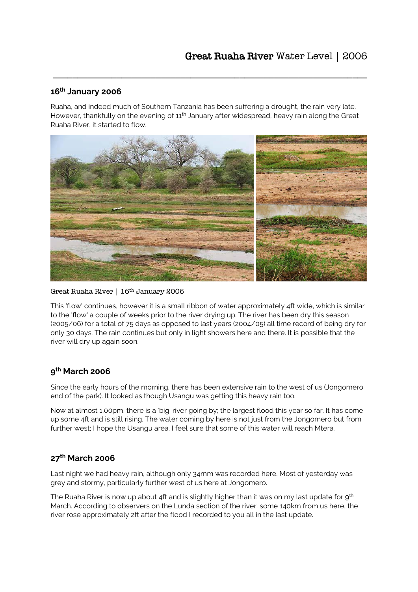## **16th January 2006**

Ruaha, and indeed much of Southern Tanzania has been suffering a drought, the rain very late. However, thankfully on the evening of 11<sup>th</sup> January after widespread, heavy rain along the Great Ruaha River, it started to flow.

\_\_\_\_\_\_\_\_\_\_\_\_\_\_\_\_\_\_\_\_\_\_\_\_\_\_\_\_\_\_\_\_\_\_\_\_\_\_\_\_\_\_\_\_\_\_\_\_\_\_\_\_\_\_\_\_\_\_\_\_\_\_\_\_



#### Great Ruaha River | 16th January 2006

This 'flow' continues, however it is a small ribbon of water approximately 4ft wide, which is similar to the 'flow' a couple of weeks prior to the river drying up. The river has been dry this season (2005/06) for a total of 75 days as opposed to last years (2004/05) all time record of being dry for only 30 days. The rain continues but only in light showers here and there. It is possible that the river will dry up again soon.

### **9 th March 2006**

Since the early hours of the morning, there has been extensive rain to the west of us (Jongomero end of the park). It looked as though Usangu was getting this heavy rain too.

Now at almost 1.00pm, there is a 'big' river going by; the largest flood this year so far. It has come up some 4ft and is still rising. The water coming by here is not just from the Jongomero but from further west; I hope the Usangu area. I feel sure that some of this water will reach Mtera.

# **27th March 2006**

Last night we had heavy rain, although only 34mm was recorded here. Most of yesterday was grey and stormy, particularly further west of us here at Jongomero.

The Ruaha River is now up about 4ft and is slightly higher than it was on my last update for  $9<sup>th</sup>$ March. According to observers on the Lunda section of the river, some 140km from us here, the river rose approximately 2ft after the flood I recorded to you all in the last update.